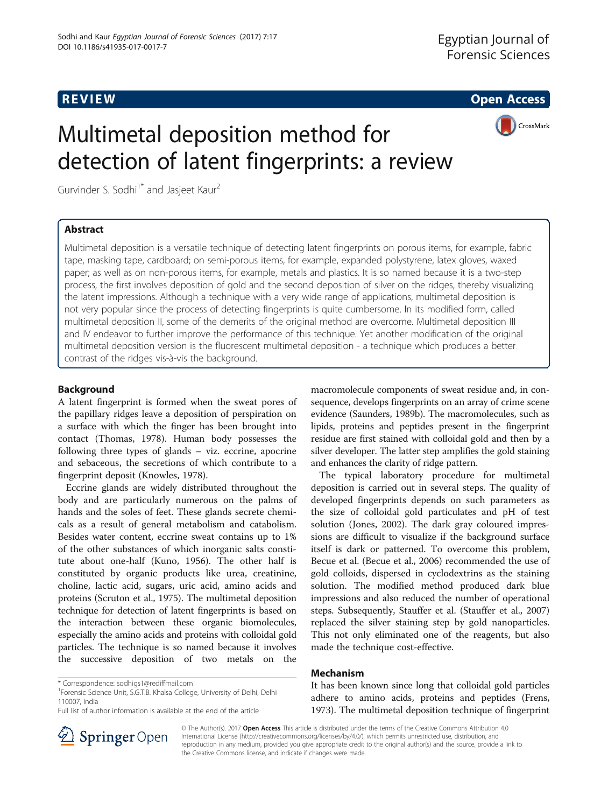**REVIEW CONSTRUCTION CONSTRUCTION CONSTRUCTS** 

CrossMark

# Multimetal deposition method for detection of latent fingerprints: a review

Gurvinder S. Sodhi<sup>1\*</sup> and Jasjeet Kaur<sup>2</sup>

# Abstract

Multimetal deposition is a versatile technique of detecting latent fingerprints on porous items, for example, fabric tape, masking tape, cardboard; on semi-porous items, for example, expanded polystyrene, latex gloves, waxed paper; as well as on non-porous items, for example, metals and plastics. It is so named because it is a two-step process, the first involves deposition of gold and the second deposition of silver on the ridges, thereby visualizing the latent impressions. Although a technique with a very wide range of applications, multimetal deposition is not very popular since the process of detecting fingerprints is quite cumbersome. In its modified form, called multimetal deposition II, some of the demerits of the original method are overcome. Multimetal deposition III and IV endeavor to further improve the performance of this technique. Yet another modification of the original multimetal deposition version is the fluorescent multimetal deposition - a technique which produces a better contrast of the ridges vis-à-vis the background.

# Background

A latent fingerprint is formed when the sweat pores of the papillary ridges leave a deposition of perspiration on a surface with which the finger has been brought into contact (Thomas, [1978](#page-6-0)). Human body possesses the following three types of glands – viz. eccrine, apocrine and sebaceous, the secretions of which contribute to a fingerprint deposit (Knowles, [1978](#page-6-0)).

Eccrine glands are widely distributed throughout the body and are particularly numerous on the palms of hands and the soles of feet. These glands secrete chemicals as a result of general metabolism and catabolism. Besides water content, eccrine sweat contains up to 1% of the other substances of which inorganic salts constitute about one-half (Kuno, [1956](#page-6-0)). The other half is constituted by organic products like urea, creatinine, choline, lactic acid, sugars, uric acid, amino acids and proteins (Scruton et al., [1975\)](#page-6-0). The multimetal deposition technique for detection of latent fingerprints is based on the interaction between these organic biomolecules, especially the amino acids and proteins with colloidal gold particles. The technique is so named because it involves the successive deposition of two metals on the

<sup>1</sup>Forensic Science Unit, S.G.T.B. Khalsa College, University of Delhi, Delhi 110007, India

Full list of author information is available at the end of the article

macromolecule components of sweat residue and, in consequence, develops fingerprints on an array of crime scene evidence (Saunders, [1989b](#page-6-0)). The macromolecules, such as lipids, proteins and peptides present in the fingerprint residue are first stained with colloidal gold and then by a silver developer. The latter step amplifies the gold staining and enhances the clarity of ridge pattern.

The typical laboratory procedure for multimetal deposition is carried out in several steps. The quality of developed fingerprints depends on such parameters as the size of colloidal gold particulates and pH of test solution (Jones, [2002\)](#page-6-0). The dark gray coloured impressions are difficult to visualize if the background surface itself is dark or patterned. To overcome this problem, Becue et al. (Becue et al., [2006](#page-5-0)) recommended the use of gold colloids, dispersed in cyclodextrins as the staining solution. The modified method produced dark blue impressions and also reduced the number of operational steps. Subsequently, Stauffer et al. (Stauffer et al., [2007](#page-6-0)) replaced the silver staining step by gold nanoparticles. This not only eliminated one of the reagents, but also made the technique cost-effective.

# Mechanism

It has been known since long that colloidal gold particles adhere to amino acids, proteins and peptides (Frens, [1973](#page-5-0)). The multimetal deposition technique of fingerprint



© The Author(s). 2017 Open Access This article is distributed under the terms of the Creative Commons Attribution 4.0 International License ([http://creativecommons.org/licenses/by/4.0/\)](http://creativecommons.org/licenses/by/4.0/), which permits unrestricted use, distribution, and reproduction in any medium, provided you give appropriate credit to the original author(s) and the source, provide a link to the Creative Commons license, and indicate if changes were made.

<sup>\*</sup> Correspondence: [sodhigs1@rediffmail.com](mailto:sodhigs1@rediffmail.com) <sup>1</sup>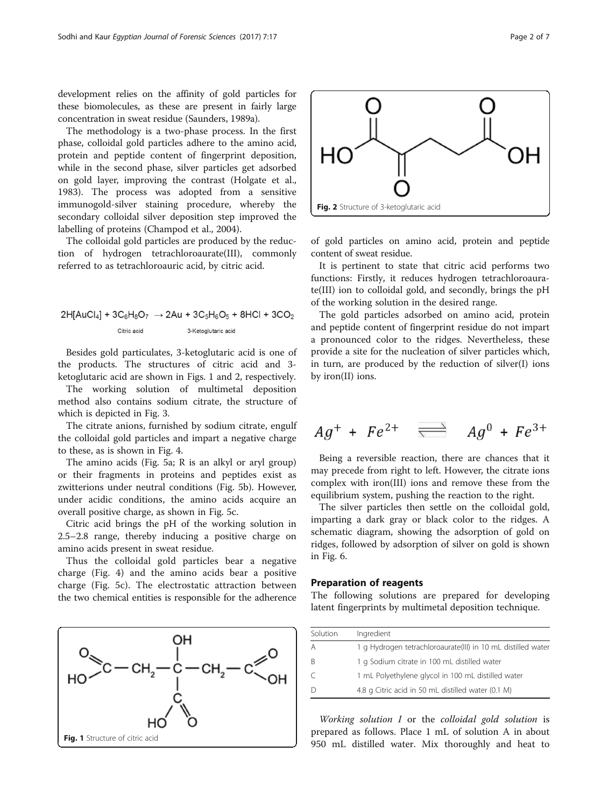development relies on the affinity of gold particles for these biomolecules, as these are present in fairly large concentration in sweat residue (Saunders, [1989a\)](#page-6-0).

The methodology is a two-phase process. In the first phase, colloidal gold particles adhere to the amino acid, protein and peptide content of fingerprint deposition, while in the second phase, silver particles get adsorbed on gold layer, improving the contrast (Holgate et al., [1983](#page-5-0)). The process was adopted from a sensitive immunogold-silver staining procedure, whereby the secondary colloidal silver deposition step improved the labelling of proteins (Champod et al., [2004\)](#page-5-0).

The colloidal gold particles are produced by the reduction of hydrogen tetrachloroaurate(III), commonly referred to as tetrachloroauric acid, by citric acid.

$$
2H[AuCl_4] + 3C_6H_8O_7 \rightarrow 2Au + 3C_5H_6O_5 + 8HCl + 3CO_2
$$
  
\n
$$
3\text{-Ketoglutaric acid}
$$

Besides gold particulates, 3-ketoglutaric acid is one of the products. The structures of citric acid and 3 ketoglutaric acid are shown in Figs. 1 and 2, respectively.

The working solution of multimetal deposition method also contains sodium citrate, the structure of which is depicted in Fig. [3](#page-2-0).

The citrate anions, furnished by sodium citrate, engulf the colloidal gold particles and impart a negative charge to these, as is shown in Fig. [4](#page-2-0).

The amino acids (Fig. [5a](#page-3-0); R is an alkyl or aryl group) or their fragments in proteins and peptides exist as zwitterions under neutral conditions (Fig. [5b](#page-3-0)). However, under acidic conditions, the amino acids acquire an overall positive charge, as shown in Fig. [5c](#page-3-0).

Citric acid brings the pH of the working solution in 2.5–2.8 range, thereby inducing a positive charge on amino acids present in sweat residue.

Thus the colloidal gold particles bear a negative charge (Fig. [4](#page-2-0)) and the amino acids bear a positive charge (Fig. [5c](#page-3-0)). The electrostatic attraction between the two chemical entities is responsible for the adherence





of gold particles on amino acid, protein and peptide content of sweat residue.

It is pertinent to state that citric acid performs two functions: Firstly, it reduces hydrogen tetrachloroaurate(III) ion to colloidal gold, and secondly, brings the pH of the working solution in the desired range.

The gold particles adsorbed on amino acid, protein and peptide content of fingerprint residue do not impart a pronounced color to the ridges. Nevertheless, these provide a site for the nucleation of silver particles which, in turn, are produced by the reduction of silver(I) ions by iron(II) ions.

$$
Ag^+ + Fe^{2+} \implies Ag^0 + Fe^{3+}
$$

Being a reversible reaction, there are chances that it may precede from right to left. However, the citrate ions complex with iron(III) ions and remove these from the equilibrium system, pushing the reaction to the right.

The silver particles then settle on the colloidal gold, imparting a dark gray or black color to the ridges. A schematic diagram, showing the adsorption of gold on ridges, followed by adsorption of silver on gold is shown in Fig. [6](#page-3-0).

#### Preparation of reagents

The following solutions are prepared for developing latent fingerprints by multimetal deposition technique.

| Solution | Ingredient                                                   |
|----------|--------------------------------------------------------------|
|          | 1 g Hydrogen tetrachloroaurate(III) in 10 mL distilled water |
| R        | 1 g Sodium citrate in 100 mL distilled water                 |
|          | 1 mL Polyethylene glycol in 100 mL distilled water           |
|          | 4.8 g Citric acid in 50 mL distilled water (0.1 M)           |

Working solution I or the colloidal gold solution is prepared as follows. Place 1 mL of solution A in about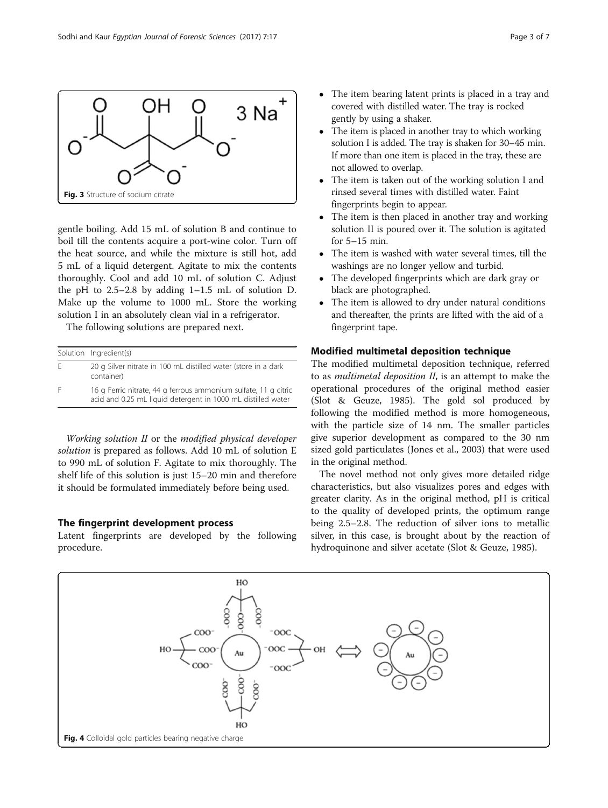<span id="page-2-0"></span>

gentle boiling. Add 15 mL of solution B and continue to boil till the contents acquire a port-wine color. Turn off the heat source, and while the mixture is still hot, add 5 mL of a liquid detergent. Agitate to mix the contents thoroughly. Cool and add 10 mL of solution C. Adjust the pH to 2.5–2.8 by adding 1–1.5 mL of solution D. Make up the volume to 1000 mL. Store the working solution I in an absolutely clean vial in a refrigerator.

The following solutions are prepared next.

|   | Solution Ingredient(s)                                                                                                          |
|---|---------------------------------------------------------------------------------------------------------------------------------|
| F | 20 g Silver nitrate in 100 mL distilled water (store in a dark<br>container)                                                    |
|   | 16 g Ferric nitrate, 44 g ferrous ammonium sulfate, 11 g citric<br>acid and 0.25 mL liquid detergent in 1000 mL distilled water |

Working solution II or the modified physical developer solution is prepared as follows. Add 10 mL of solution E to 990 mL of solution F. Agitate to mix thoroughly. The shelf life of this solution is just 15–20 min and therefore it should be formulated immediately before being used.

## The fingerprint development process

Latent fingerprints are developed by the following procedure.

- The item bearing latent prints is placed in a tray and covered with distilled water. The tray is rocked gently by using a shaker.
- The item is placed in another tray to which working solution I is added. The tray is shaken for 30–45 min. If more than one item is placed in the tray, these are not allowed to overlap.
- The item is taken out of the working solution I and rinsed several times with distilled water. Faint fingerprints begin to appear.
- The item is then placed in another tray and working solution II is poured over it. The solution is agitated for 5–15 min.
- The item is washed with water several times, till the washings are no longer yellow and turbid.
- The developed fingerprints which are dark gray or black are photographed.
- The item is allowed to dry under natural conditions and thereafter, the prints are lifted with the aid of a fingerprint tape.

# Modified multimetal deposition technique

The modified multimetal deposition technique, referred to as multimetal deposition II, is an attempt to make the operational procedures of the original method easier (Slot & Geuze, [1985](#page-6-0)). The gold sol produced by following the modified method is more homogeneous, with the particle size of 14 nm. The smaller particles give superior development as compared to the 30 nm sized gold particulates (Jones et al., [2003](#page-6-0)) that were used in the original method.

The novel method not only gives more detailed ridge characteristics, but also visualizes pores and edges with greater clarity. As in the original method, pH is critical to the quality of developed prints, the optimum range being 2.5–2.8. The reduction of silver ions to metallic silver, in this case, is brought about by the reaction of hydroquinone and silver acetate (Slot & Geuze, [1985\)](#page-6-0).

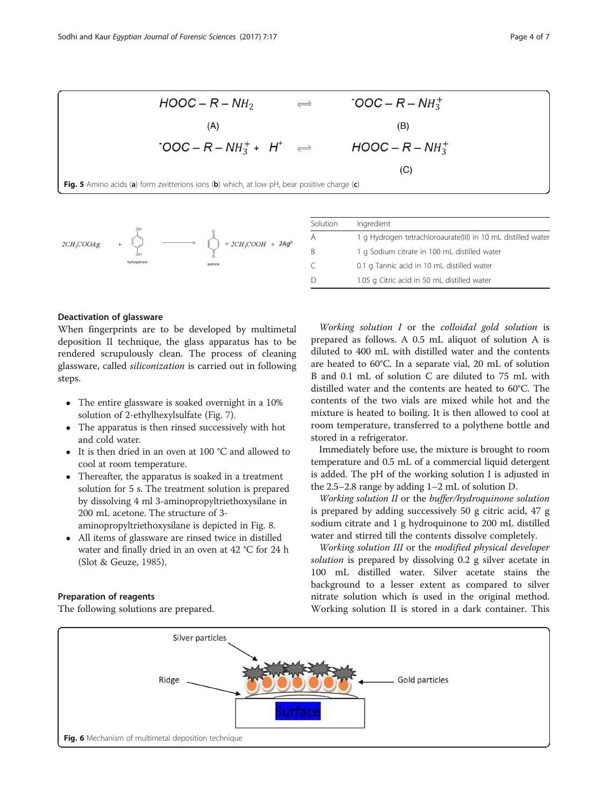<span id="page-3-0"></span>**HOOC – R – NH<sub>2</sub>**

\n(A)

\n**TOOC – R – NH<sub>3</sub><sup>+</sup> + H<sup>+</sup> 
$$
\implies
$$**

\n**HOOC – R – NH<sub>3</sub><sup>+</sup> + H<sup>+</sup>  $\implies$** 

\n**HOOC – R – NH<sub>3</sub><sup>+</sup> + H<sup>+</sup>  $\implies$** 

\n(C)

\n**Fig. 5** Amino acids (a) form zwitterions ions (b) which, at low pH, bear positive charge (c)



| Solution  | Ingredient                                                   |
|-----------|--------------------------------------------------------------|
| A         | 1 g Hydrogen tetrachloroaurate(III) in 10 mL distilled water |
| B         | 1 g Sodium citrate in 100 mL distilled water                 |
| $\subset$ | 0.1 g Tannic acid in 10 mL distilled water                   |
| D         | 1.05 g Citric acid in 50 mL distilled water                  |

## Deactivation of glassware

When fingerprints are to be developed by multimetal deposition II technique, the glass apparatus has to be rendered scrupulously clean. The process of cleaning glassware, called siliconization is carried out in following steps.

- The entire glassware is soaked overnight in a 10% solution of 2-ethylhexylsulfate (Fig. [7\)](#page-4-0).
- The apparatus is then rinsed successively with hot and cold water.
- It is then dried in an oven at 100 °C and allowed to cool at room temperature.
- Thereafter, the apparatus is soaked in a treatment solution for 5 s. The treatment solution is prepared by dissolving 4 ml 3-aminopropyltriethoxysilane in 200 mL acetone. The structure of 3 aminopropyltriethoxysilane is depicted in Fig. [8.](#page-4-0)
- All items of glassware are rinsed twice in distilled water and finally dried in an oven at 42 °C for 24 h (Slot & Geuze, [1985](#page-6-0)).

# Preparation of reagents

The following solutions are prepared.

prepared as follows. A 0.5 mL aliquot of solution A is diluted to 400 mL with distilled water and the contents are heated to 60°C. In a separate vial, 20 mL of solution B and 0.1 mL of solution C are diluted to 75 mL with distilled water and the contents are heated to 60°C. The contents of the two vials are mixed while hot and the mixture is heated to boiling. It is then allowed to cool at room temperature, transferred to a polythene bottle and stored in a refrigerator.

Working solution I or the colloidal gold solution is

Immediately before use, the mixture is brought to room temperature and 0.5 mL of a commercial liquid detergent is added. The pH of the working solution I is adjusted in the 2.5–2.8 range by adding 1–2 mL of solution D.

Working solution II or the buffer/hydroquinone solution is prepared by adding successively 50 g citric acid, 47 g sodium citrate and 1 g hydroquinone to 200 mL distilled water and stirred till the contents dissolve completely.

Working solution III or the modified physical developer solution is prepared by dissolving 0.2 g silver acetate in 100 mL distilled water. Silver acetate stains the background to a lesser extent as compared to silver nitrate solution which is used in the original method. Working solution II is stored in a dark container. This

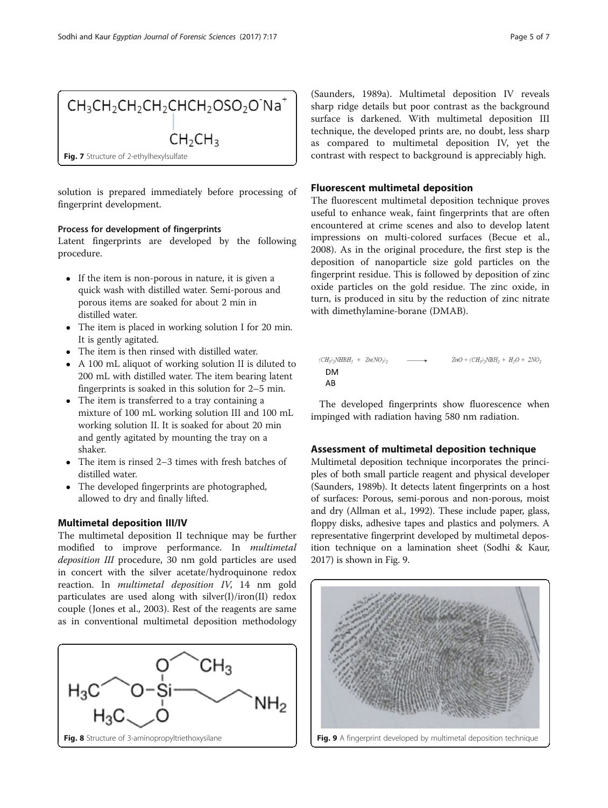<span id="page-4-0"></span>

solution is prepared immediately before processing of fingerprint development.

## Process for development of fingerprints

Latent fingerprints are developed by the following procedure.

- If the item is non-porous in nature, it is given a quick wash with distilled water. Semi-porous and porous items are soaked for about 2 min in distilled water.
- The item is placed in working solution I for 20 min. It is gently agitated.
- The item is then rinsed with distilled water.
- A 100 mL aliquot of working solution II is diluted to 200 mL with distilled water. The item bearing latent fingerprints is soaked in this solution for 2–5 min.
- The item is transferred to a tray containing a mixture of 100 mL working solution III and 100 mL working solution II. It is soaked for about 20 min and gently agitated by mounting the tray on a shaker.
- The item is rinsed 2–3 times with fresh batches of distilled water.
- The developed fingerprints are photographed, allowed to dry and finally lifted.

# Multimetal deposition III/IV

The multimetal deposition II technique may be further modified to improve performance. In multimetal deposition III procedure, 30 nm gold particles are used in concert with the silver acetate/hydroquinone redox reaction. In multimetal deposition IV, 14 nm gold particulates are used along with silver(I)/iron(II) redox couple (Jones et al., [2003](#page-6-0)). Rest of the reagents are same as in conventional multimetal deposition methodology



(Saunders, [1989a\)](#page-6-0). Multimetal deposition IV reveals sharp ridge details but poor contrast as the background surface is darkened. With multimetal deposition III technique, the developed prints are, no doubt, less sharp as compared to multimetal deposition IV, yet the contrast with respect to background is appreciably high.

# Fluorescent multimetal deposition

The fluorescent multimetal deposition technique proves useful to enhance weak, faint fingerprints that are often encountered at crime scenes and also to develop latent impressions on multi-colored surfaces (Becue et al., [2008](#page-5-0)). As in the original procedure, the first step is the deposition of nanoparticle size gold particles on the fingerprint residue. This is followed by deposition of zinc oxide particles on the gold residue. The zinc oxide, in turn, is produced in situ by the reduction of zinc nitrate with dimethylamine-borane (DMAB).



The developed fingerprints show fluorescence when impinged with radiation having 580 nm radiation.

#### Assessment of multimetal deposition technique

Multimetal deposition technique incorporates the principles of both small particle reagent and physical developer (Saunders, [1989b](#page-6-0)). It detects latent fingerprints on a host of surfaces: Porous, semi-porous and non-porous, moist and dry (Allman et al., [1992\)](#page-5-0). These include paper, glass, floppy disks, adhesive tapes and plastics and polymers. A representative fingerprint developed by multimetal deposition technique on a lamination sheet (Sodhi & Kaur, [2017](#page-6-0)) is shown in Fig. 9.

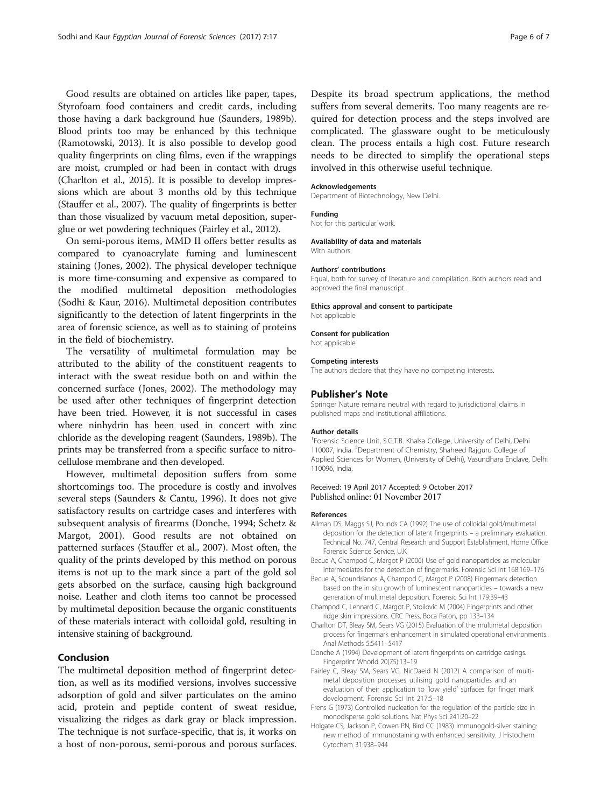<span id="page-5-0"></span>Good results are obtained on articles like paper, tapes, Styrofoam food containers and credit cards, including those having a dark background hue (Saunders, [1989b](#page-6-0)). Blood prints too may be enhanced by this technique (Ramotowski, [2013\)](#page-6-0). It is also possible to develop good quality fingerprints on cling films, even if the wrappings are moist, crumpled or had been in contact with drugs (Charlton et al., 2015). It is possible to develop impressions which are about 3 months old by this technique (Stauffer et al., [2007](#page-6-0)). The quality of fingerprints is better than those visualized by vacuum metal deposition, superglue or wet powdering techniques (Fairley et al., 2012).

On semi-porous items, MMD II offers better results as compared to cyanoacrylate fuming and luminescent staining (Jones, [2002\)](#page-6-0). The physical developer technique is more time-consuming and expensive as compared to the modified multimetal deposition methodologies (Sodhi & Kaur, [2016](#page-6-0)). Multimetal deposition contributes significantly to the detection of latent fingerprints in the area of forensic science, as well as to staining of proteins in the field of biochemistry.

The versatility of multimetal formulation may be attributed to the ability of the constituent reagents to interact with the sweat residue both on and within the concerned surface (Jones, [2002](#page-6-0)). The methodology may be used after other techniques of fingerprint detection have been tried. However, it is not successful in cases where ninhydrin has been used in concert with zinc chloride as the developing reagent (Saunders, [1989b\)](#page-6-0). The prints may be transferred from a specific surface to nitrocellulose membrane and then developed.

However, multimetal deposition suffers from some shortcomings too. The procedure is costly and involves several steps (Saunders & Cantu, [1996\)](#page-6-0). It does not give satisfactory results on cartridge cases and interferes with subsequent analysis of firearms (Donche, 1994; Schetz & Margot, [2001\)](#page-6-0). Good results are not obtained on patterned surfaces (Stauffer et al., [2007](#page-6-0)). Most often, the quality of the prints developed by this method on porous items is not up to the mark since a part of the gold sol gets absorbed on the surface, causing high background noise. Leather and cloth items too cannot be processed by multimetal deposition because the organic constituents of these materials interact with colloidal gold, resulting in intensive staining of background.

# Conclusion

The multimetal deposition method of fingerprint detection, as well as its modified versions, involves successive adsorption of gold and silver particulates on the amino acid, protein and peptide content of sweat residue, visualizing the ridges as dark gray or black impression. The technique is not surface-specific, that is, it works on a host of non-porous, semi-porous and porous surfaces.

Despite its broad spectrum applications, the method suffers from several demerits. Too many reagents are required for detection process and the steps involved are complicated. The glassware ought to be meticulously clean. The process entails a high cost. Future research needs to be directed to simplify the operational steps involved in this otherwise useful technique.

#### Acknowledgements

Department of Biotechnology, New Delhi.

#### Funding

Not for this particular work.

# Availability of data and materials

With authors.

#### Authors' contributions

Equal, both for survey of literature and compilation. Both authors read and approved the final manuscript.

#### Ethics approval and consent to participate

Not applicable

#### Consent for publication

Not applicable

#### Competing interests

The authors declare that they have no competing interests.

#### Publisher's Note

Springer Nature remains neutral with regard to jurisdictional claims in published maps and institutional affiliations.

#### Author details

<sup>1</sup> Forensic Science Unit, S.G.T.B. Khalsa College, University of Delhi, Delhi 110007, India. <sup>2</sup>Department of Chemistry, Shaheed Rajguru College of Applied Sciences for Women, (University of Delhi), Vasundhara Enclave, Delhi 110096, India.

#### Received: 19 April 2017 Accepted: 9 October 2017 Published online: 01 November 2017

#### References

- Allman DS, Maggs SJ, Pounds CA (1992) The use of colloidal gold/multimetal deposition for the detection of latent fingerprints – a preliminary evaluation. Technical No. 747, Central Research and Support Establishment, Home Office Forensic Science Service, U.K
- Becue A, Champod C, Margot P (2006) Use of gold nanoparticles as molecular intermediates for the detection of fingermarks. Forensic Sci Int 168:169–176
- Becue A, Scoundrianos A, Champod C, Margot P (2008) Fingermark detection based on the in situ growth of luminescent nanoparticles – towards a new generation of multimetal deposition. Forensic Sci Int 179:39–43
- Champod C, Lennard C, Margot P, Stoilovic M (2004) Fingerprints and other ridge skin impressions. CRC Press, Boca Raton, pp 133–134
- Charlton DT, Bleay SM, Sears VG (2015) Evaluation of the multimetal deposition process for fingermark enhancement in simulated operational environments. Anal Methods 5:5411–5417
- Donche A (1994) Development of latent fingerprints on cartridge casings. Fingerprint Whorld 20(75):13–19
- Fairley C, Bleay SM, Sears VG, NicDaeid N (2012) A comparison of multimetal deposition processes utilising gold nanoparticles and an evaluation of their application to 'low yield' surfaces for finger mark development. Forensic Sci Int 217:5–18
- Frens G (1973) Controlled nucleation for the regulation of the particle size in monodisperse gold solutions. Nat Phys Sci 241:20–22
- Holgate CS, Jackson P, Cowen PN, Bird CC (1983) Immunogold-silver staining: new method of immunostaining with enhanced sensitivity. J Histochem Cytochem 31:938–944